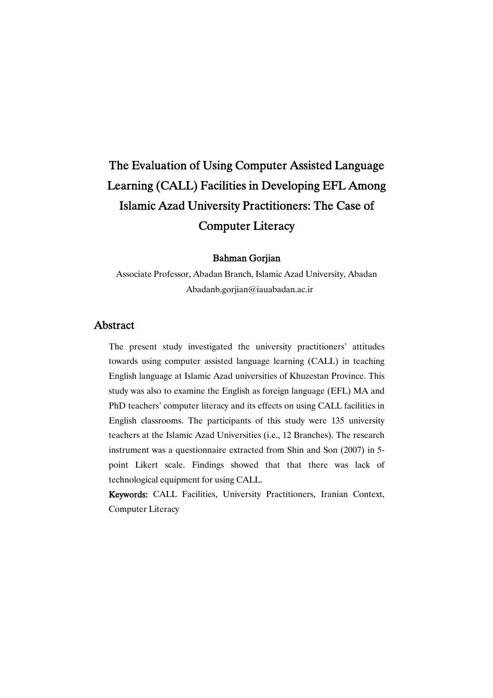# The Evaluation of Using Computer Assisted Language Learning (CALL) Facilities in Developing EFL Among Islamic Azad University Practitioners: The Case of **Computer Literacy**

## BahmanGorjian

Associate Professor, Abadan Branch, Islamic Azad University, Abadan Abadanb.gorjian@iauabadan.ac.ir

# Abstract

The present study investigated the university practitioners' attitudes towards using computer assisted language learning (CALL) in teaching English language at Islamic Azad universities of Khuzestan Province. This study was also to examine the English as foreign language (EFL) MA and PhD teachers' computer literacy and its effects on using CALL facilities in English classrooms. The participants of this study were 135 university teachers at the Islamic Azad Universities (i.e., 12 Branches). The research instrument was a questionnaire extracted from Shin and Son (2007) in 5 point Likert scale. Findings showed that that there was lack of technological equipment for using CALL.

Keywords: CALL Facilities, University Practitioners, Iranian Context, Computer Literacy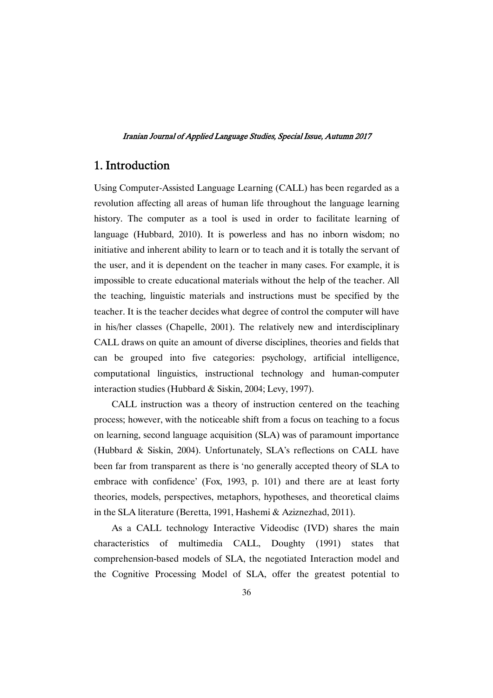# 1.Introduction

Using Computer-Assisted Language Learning (CALL) has been regarded as a revolution affecting all areas of human life throughout the language learning history. The computer as a tool is used in order to facilitate learning of language (Hubbard, 2010). It is powerless and has no inborn wisdom; no initiative and inherent ability to learn or to teach and it is totally the servant of the user, and it is dependent on the teacher in many cases. For example, it is impossible to create educational materials without the help of the teacher. All the teaching, linguistic materials and instructions must be specified by the teacher. It is the teacher decides what degree of control the computer will have in his/her classes (Chapelle, 2001). The relatively new and interdisciplinary CALL draws on quite an amount of diverse disciplines, theories and fields that can be grouped into five categories: psychology, artificial intelligence, computational linguistics, instructional technology and human-computer interaction studies (Hubbard & Siskin, 2004; Levy, 1997).

CALL instruction was a theory of instruction centered on the teaching process; however, with the noticeable shift from a focus on teaching to a focus on learning, second language acquisition (SLA) was of paramount importance (Hubbard & Siskin, 2004). Unfortunately, SLA's reflections on CALL have been far from transparent as there is 'no generally accepted theory of SLA to embrace with confidence' (Fox, 1993, p. 101) and there are at least forty theories, models, perspectives, metaphors, hypotheses, and theoretical claims in the SLA literature (Beretta, 1991, Hashemi & Aziznezhad, 2011).

As a CALL technology Interactive Videodisc (IVD) shares the main characteristics of multimedia CALL, Doughty (1991) states that comprehension-based models of SLA, the negotiated Interaction model and the Cognitive Processing Model of SLA, offer the greatest potential to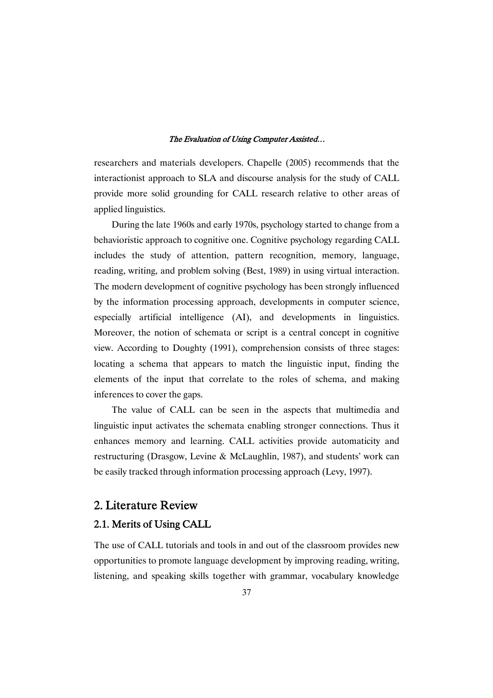researchers and materials developers. Chapelle (2005) recommends that the interactionist approach to SLA and discourse analysis for the study of CALL provide more solid grounding for CALL research relative to other areas of applied linguistics.

During the late 1960s and early 1970s, psychology started to change from a behavioristic approach to cognitive one. Cognitive psychology regarding CALL includes the study of attention, pattern recognition, memory, language, reading, writing, and problem solving (Best, 1989) in using virtual interaction. The modern development of cognitive psychology has been strongly influenced by the information processing approach, developments in computer science, especially artificial intelligence (AI), and developments in linguistics. Moreover, the notion of schemata or script is a central concept in cognitive view. According to Doughty (1991), comprehension consists of three stages: locating a schema that appears to match the linguistic input, finding the elements of the input that correlate to the roles of schema, and making inferences to cover the gaps.

The value of CALL can be seen in the aspects that multimedia and linguistic input activates the schemata enabling stronger connections. Thus it enhances memory and learning. CALL activities provide automaticity and restructuring (Drasgow, Levine & McLaughlin, 1987), and students' work can be easily tracked through information processing approach (Levy, 1997).

# 2. Literature Review

# 2.1. Merits of Using CALL

The use of CALL tutorials and tools in and out of the classroom provides new opportunities to promote language development by improving reading, writing, listening, and speaking skills together with grammar, vocabulary knowledge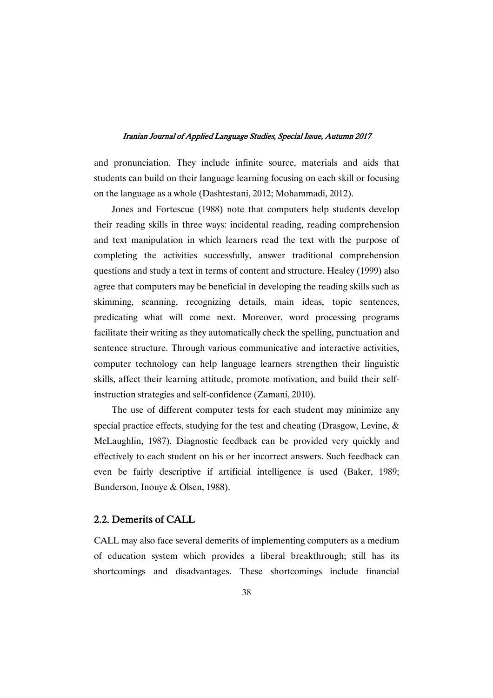and pronunciation. They include infinite source, materials and aids that students can build on their language learning focusing on each skill or focusing on the language as a whole (Dashtestani, 2012; Mohammadi, 2012).

Jones and Fortescue (1988) note that computers help students develop their reading skills in three ways: incidental reading, reading comprehension and text manipulation in which learners read the text with the purpose of completing the activities successfully, answer traditional comprehension questions and study a text in terms of content and structure. Healey (1999) also agree that computers may be beneficial in developing the reading skills such as skimming, scanning, recognizing details, main ideas, topic sentences, predicating what will come next. Moreover, word processing programs facilitate their writing as they automatically check the spelling, punctuation and sentence structure. Through various communicative and interactive activities, computer technology can help language learners strengthen their linguistic skills, affect their learning attitude, promote motivation, and build their selfinstruction strategies and self-confidence (Zamani, 2010).

The use of different computer tests for each student may minimize any special practice effects, studying for the test and cheating (Drasgow, Levine, & McLaughlin, 1987). Diagnostic feedback can be provided very quickly and effectively to each student on his or her incorrect answers. Such feedback can even be fairly descriptive if artificial intelligence is used (Baker, 1989; Bunderson, Inouye & Olsen, 1988).

## 2.2. Demerits of CALL

CALL may also face several demerits of implementing computers as a medium of education system which provides a liberal breakthrough; still has its shortcomings and disadvantages. These shortcomings include financial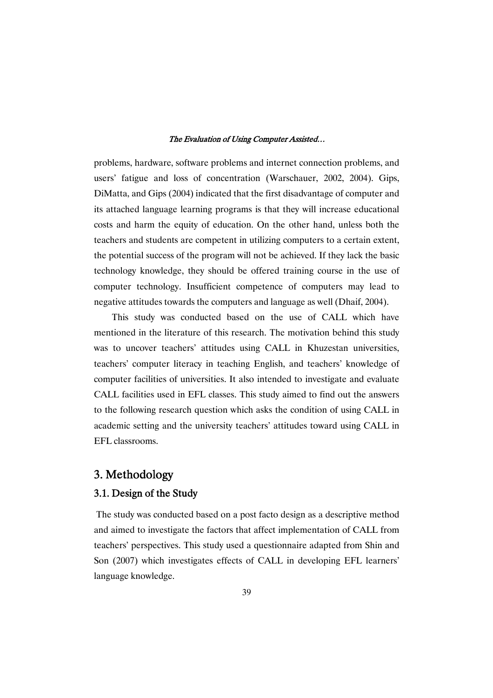problems, hardware, software problems and internet connection problems, and users' fatigue and loss of concentration (Warschauer, 2002, 2004). Gips, DiMatta, and Gips (2004) indicated that the first disadvantage of computer and its attached language learning programs is that they will increase educational costs and harm the equity of education. On the other hand, unless both the teachers and students are competent in utilizing computers to a certain extent, the potential success of the program will not be achieved. If they lack the basic technology knowledge, they should be offered training course in the use of computer technology. Insufficient competence of computers may lead to negative attitudes towards the computers and language as well (Dhaif, 2004).

This study was conducted based on the use of CALL which have mentioned in the literature of this research. The motivation behind this study was to uncover teachers' attitudes using CALL in Khuzestan universities, teachers' computer literacy in teaching English, and teachers' knowledge of computer facilities of universities. It also intended to investigate and evaluate CALL facilities used in EFL classes. This study aimed to find out the answers to the following research question which asks the condition of using CALL in academic setting and the university teachers' attitudes toward using CALL in EFL classrooms.

# 3.Methodology

## 3.1. Design of the Study

The study was conducted based on a post facto design as a descriptive method and aimed to investigate the factors that affect implementation of CALL from teachers' perspectives. This study used a questionnaire adapted from Shin and Son (2007) which investigates effects of CALL in developing EFL learners' language knowledge.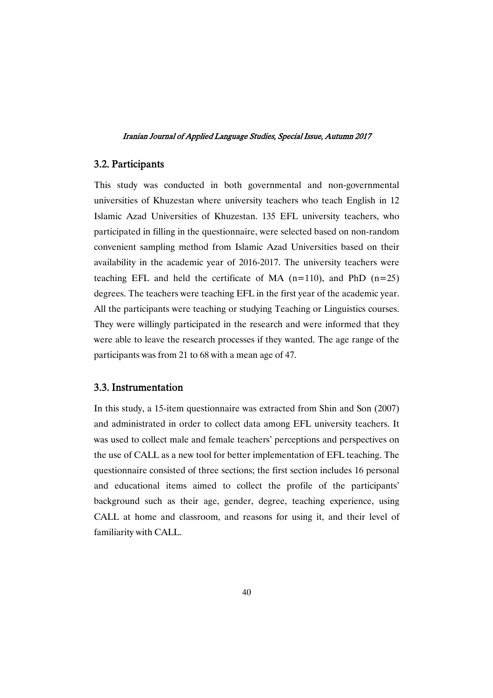# 3.2.Participants

This study was conducted in both governmental and non-governmental universities of Khuzestan where university teachers who teach English in 12 Islamic Azad Universities of Khuzestan. 135 EFL university teachers, who participated in filling in the questionnaire, were selected based on non-random convenient sampling method from Islamic Azad Universities based on their availability in the academic year of 2016-2017. The university teachers were teaching EFL and held the certificate of MA  $(n=110)$ , and PhD  $(n=25)$ degrees. The teachers were teaching EFL in the first year of the academic year. All the participants were teaching or studying Teaching or Linguistics courses. They were willingly participated in the research and were informed that they were able to leave the research processes if they wanted. The age range of the participants was from 21 to 68 with a mean age of 47.

# 3.3.Instrumentation

In this study, a 15-item questionnaire was extracted from Shin and Son (2007) and administrated in order to collect data among EFL university teachers. It was used to collect male and female teachers' perceptions and perspectives on the use of CALL as a new tool for better implementation of EFL teaching. The questionnaire consisted of three sections; the first section includes 16 personal and educational items aimed to collect the profile of the participants' background such as their age, gender, degree, teaching experience, using CALL at home and classroom, and reasons for using it, and their level of familiarity with CALL.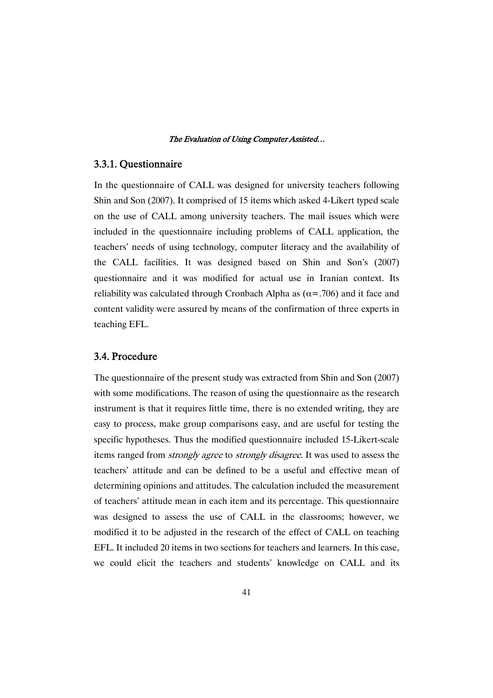# 3.3.1.Questionnaire

In the questionnaire of CALL was designed for university teachers following Shin and Son (2007). It comprised of 15 items which asked 4-Likert typed scale on the use of CALL among university teachers. The mail issues which were included in the questionnaire including problems of CALL application, the teachers' needs of using technology, computer literacy and the availability of the CALL facilities. It was designed based on Shin and Son's (2007) questionnaire and it was modified for actual use in Iranian context. Its reliability was calculated through Cronbach Alpha as  $(\alpha = .706)$  and it face and content validity were assured by means of the confirmation of three experts in teaching EFL.

## 3.4.Procedure

The questionnaire of the present study was extracted from Shin and Son (2007) with some modifications. The reason of using the questionnaire as the research instrument is that it requires little time, there is no extended writing, they are easy to process, make group comparisons easy, and are useful for testing the specific hypotheses. Thus the modified questionnaire included 15-Likert-scale items ranged from strongly agree to strongly disagree. It was used to assess the teachers' attitude and can be defined to be a useful and effective mean of determining opinions and attitudes. The calculation included the measurement of teachers' attitude mean in each item and its percentage. This questionnaire was designed to assess the use of CALL in the classrooms; however, we modified it to be adjusted in the research of the effect of CALL on teaching EFL. It included 20 items in two sections for teachers and learners. In this case, we could elicit the teachers and students' knowledge on CALL and its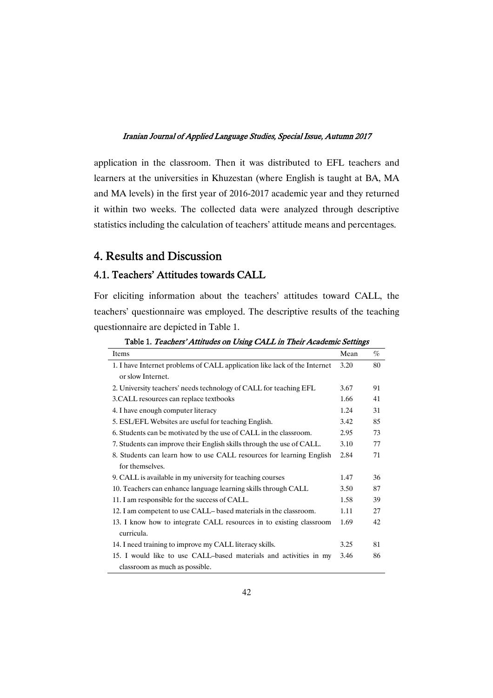application in the classroom. Then it was distributed to EFL teachers and learners at the universities in Khuzestan (where English is taught at BA, MA and MA levels) in the first year of 2016-2017 academic year and they returned it within two weeks. The collected data were analyzed through descriptive statistics including the calculation of teachers' attitude means and percentages.

# 4. Results and Discussion

# 4.1. Teachers' Attitudes towards CALL

For eliciting information about the teachers' attitudes toward CALL, the teachers' questionnaire was employed. The descriptive results of the teaching questionnaire are depicted in Table 1.

| Items                                                                     | Mean | %  |
|---------------------------------------------------------------------------|------|----|
| 1. I have Internet problems of CALL application like lack of the Internet | 3.20 | 80 |
| or slow Internet.                                                         |      |    |
| 2. University teachers' needs technology of CALL for teaching EFL         | 3.67 | 91 |
| 3. CALL resources can replace textbooks                                   | 1.66 | 41 |
| 4. I have enough computer literacy                                        | 1.24 | 31 |
| 5. ESL/EFL Websites are useful for teaching English.                      | 3.42 | 85 |
| 6. Students can be motivated by the use of CALL in the classroom.         | 2.95 | 73 |
| 7. Students can improve their English skills through the use of CALL.     | 3.10 | 77 |
| 8. Students can learn how to use CALL resources for learning English      | 2.84 | 71 |
| for themselves.                                                           |      |    |
| 9. CALL is available in my university for teaching courses                | 1.47 | 36 |
| 10. Teachers can enhance language learning skills through CALL            | 3.50 | 87 |
| 11. I am responsible for the success of CALL.                             | 1.58 | 39 |
| 12. I am competent to use CALL-based materials in the classroom.          | 1.11 | 27 |
| 13. I know how to integrate CALL resources in to existing classroom       | 1.69 | 42 |
| curricula.                                                                |      |    |
| 14. I need training to improve my CALL literacy skills.                   | 3.25 | 81 |
| 15. I would like to use CALL-based materials and activities in my         | 3.46 | 86 |
| classroom as much as possible.                                            |      |    |

Table 1. Teachers' Attitudes on Using CALL in Their Academic Settings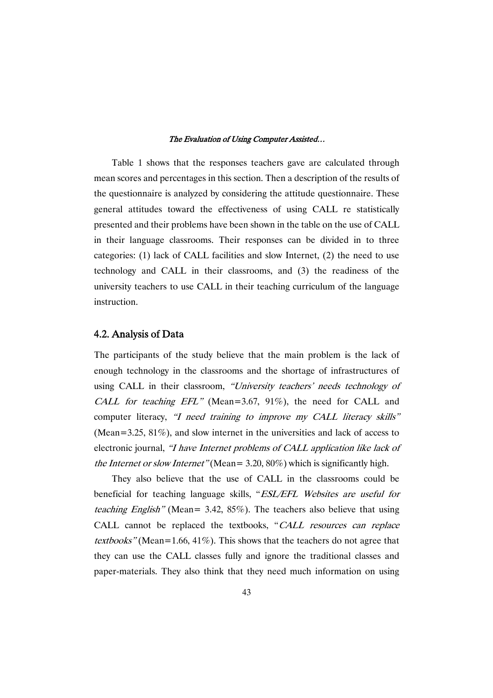Table 1 shows that the responses teachers gave are calculated through mean scores and percentages in this section. Then a description of the results of the questionnaire is analyzed by considering the attitude questionnaire. These general attitudes toward the effectiveness of using CALL re statistically presented and their problems have been shown in the table on the use of CALL in their language classrooms. Their responses can be divided in to three categories: (1) lack of CALL facilities and slow Internet, (2) the need to use technology and CALL in their classrooms, and (3) the readiness of the university teachers to use CALL in their teaching curriculum of the language instruction.

# 4.2.AnalysisofData

The participants of the study believe that the main problem is the lack of enough technology in the classrooms and the shortage of infrastructures of using CALL in their classroom, "University teachers' needs technology of CALL for teaching EFL" (Mean=3.67, 91%), the need for CALL and computer literacy, "I need training to improve my CALL literacy skills" (Mean=3.25,  $81\%$ ), and slow internet in the universities and lack of access to electronic journal, "I have Internet problems of CALL application like lack of the Internet or slow Internet" (Mean =  $3.20, 80\%$ ) which is significantly high.

They also believe that the use of CALL in the classrooms could be beneficial for teaching language skills, "ESL/EFL Websites are useful for teaching English" (Mean= 3.42, 85%). The teachers also believe that using CALL cannot be replaced the textbooks, "CALL resources can replace textbooks" (Mean=1.66, 41%). This shows that the teachers do not agree that they can use the CALL classes fully and ignore the traditional classes and paper-materials. They also think that they need much information on using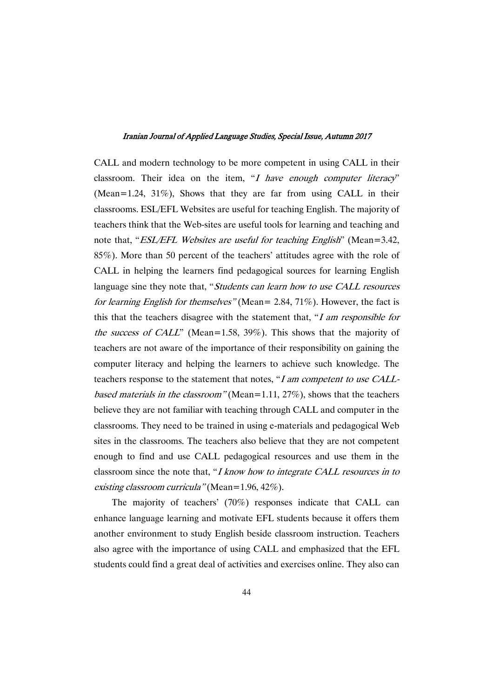CALL and modern technology to be more competent in using CALL in their classroom. Their idea on the item, "I have enough computer literacy" (Mean=1.24, 31%), Shows that they are far from using CALL in their classrooms. ESL/EFL Websites are useful for teaching English. The majority of teachers think that the Web-sites are useful tools for learning and teaching and note that, "*ESL/EFL Websites are useful for teaching English*" (Mean=3.42, 85%). More than 50 percent of the teachers' attitudes agree with the role of CALL in helping the learners find pedagogical sources for learning English language sine they note that, "Students can learn how to use CALL resources" for learning English for themselves" (Mean = 2.84, 71%). However, the fact is this that the teachers disagree with the statement that, " $I$  am responsible for the success of CALL" (Mean=1.58, 39%). This shows that the majority of teachers are not aware of the importance of their responsibility on gaining the computer literacy and helping the learners to achieve such knowledge. The teachers response to the statement that notes, "<sup>I</sup> am competent to use CALLbased materials in the classroom" (Mean=1.11, 27%), shows that the teachers believe they are not familiar with teaching through CALL and computer in the classrooms. They need to be trained in using e-materials and pedagogical Web sites in the classrooms. The teachers also believe that they are not competent enough to find and use CALL pedagogical resources and use them in the classroom since the note that, "I know how to integrate CALL resources in to existing classroom curricula" (Mean=1.96, 42%).

The majority of teachers' (70%) responses indicate that CALL can enhance language learning and motivate EFL students because it offers them another environment to study English beside classroom instruction. Teachers also agree with the importance of using CALL and emphasized that the EFL students could find a great deal of activities and exercises online. They also can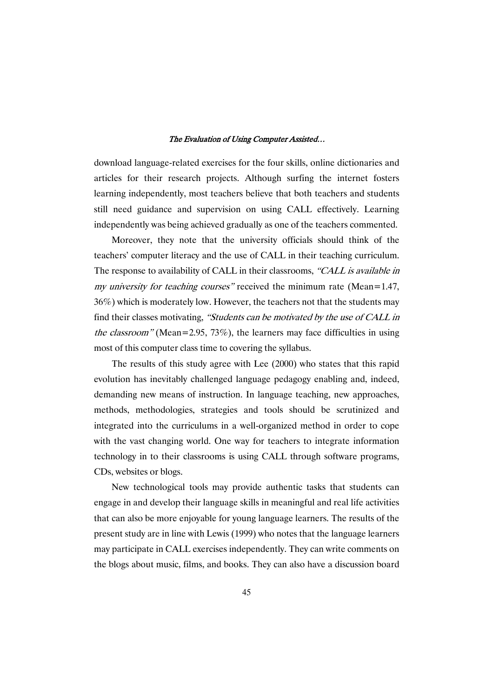download language-related exercises for the four skills, online dictionaries and articles for their research projects. Although surfing the internet fosters learning independently, most teachers believe that both teachers and students still need guidance and supervision on using CALL effectively. Learning independently was being achieved gradually as one of the teachers commented.

Moreover, they note that the university officials should think of the teachers' computer literacy and the use of CALL in their teaching curriculum. The response to availability of CALL in their classrooms, "CALL is available in my university for teaching courses" received the minimum rate (Mean=1.47, 36%) which is moderately low. However, the teachers not that the students may find their classes motivating, "Students can be motivated by the use of CALL in the classroom" (Mean=2.95, 73%), the learners may face difficulties in using most of this computer class time to covering the syllabus.

The results of this study agree with Lee (2000) who states that this rapid evolution has inevitably challenged language pedagogy enabling and, indeed, demanding new means of instruction. In language teaching, new approaches, methods, methodologies, strategies and tools should be scrutinized and integrated into the curriculums in a well-organized method in order to cope with the vast changing world. One way for teachers to integrate information technology in to their classrooms is using CALL through software programs, CDs, websites or blogs.

New technological tools may provide authentic tasks that students can engage in and develop their language skills in meaningful and real life activities that can also be more enjoyable for young language learners. The results of the present study are in line with Lewis (1999) who notes that the language learners may participate in CALL exercises independently. They can write comments on the blogs about music, films, and books. They can also have a discussion board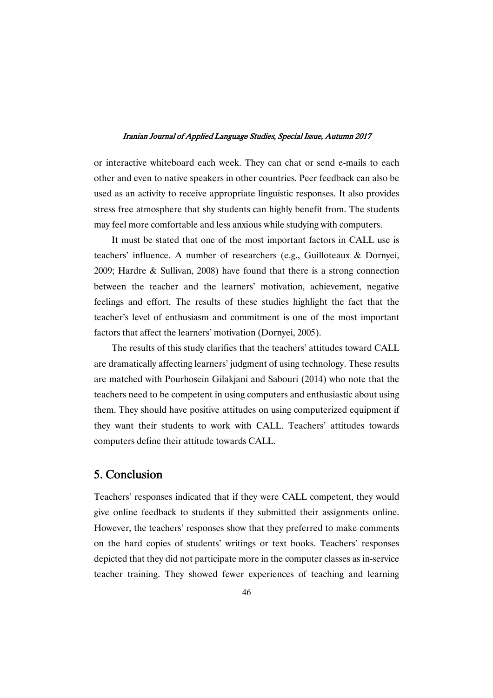or interactive whiteboard each week. They can chat or send e-mails to each other and even to native speakers in other countries. Peer feedback can also be used as an activity to receive appropriate linguistic responses. It also provides stress free atmosphere that shy students can highly benefit from. The students may feel more comfortable and less anxious while studying with computers.

It must be stated that one of the most important factors in CALL use is teachers' influence. A number of researchers (e.g., Guilloteaux & Dornyei, 2009; Hardre & Sullivan, 2008) have found that there is a strong connection between the teacher and the learners' motivation, achievement, negative feelings and effort. The results of these studies highlight the fact that the teacher's level of enthusiasm and commitment is one of the most important factors that affect the learners' motivation (Dornyei, 2005).

The results of this study clarifies that the teachers' attitudes toward CALL are dramatically affecting learners' judgment of using technology. These results are matched with Pourhosein Gilakjani and Sabouri (2014) who note that the teachers need to be competent in using computers and enthusiastic about using them. They should have positive attitudes on using computerized equipment if they want their students to work with CALL. Teachers' attitudes towards computers define their attitude towards CALL.

# 5.Conclusion

Teachers' responses indicated that if they were CALL competent, they would give online feedback to students if they submitted their assignments online. However, the teachers' responses show that they preferred to make comments on the hard copies of students' writings or text books. Teachers' responses depicted that they did not participate more in the computer classes as in-service teacher training. They showed fewer experiences of teaching and learning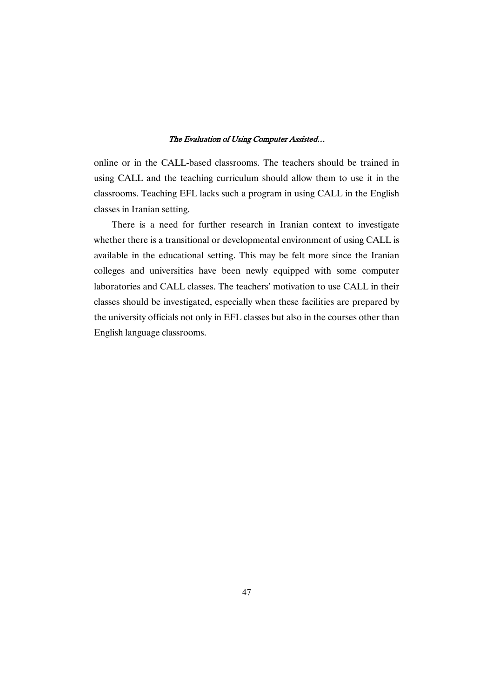online or in the CALL-based classrooms. The teachers should be trained in using CALL and the teaching curriculum should allow them to use it in the classrooms. Teaching EFL lacks such a program in using CALL in the English classes in Iranian setting.

There is a need for further research in Iranian context to investigate whether there is a transitional or developmental environment of using CALL is available in the educational setting. This may be felt more since the Iranian colleges and universities have been newly equipped with some computer laboratories and CALL classes. The teachers' motivation to use CALL in their classes should be investigated, especially when these facilities are prepared by the university officials not only in EFL classes but also in the courses other than English language classrooms.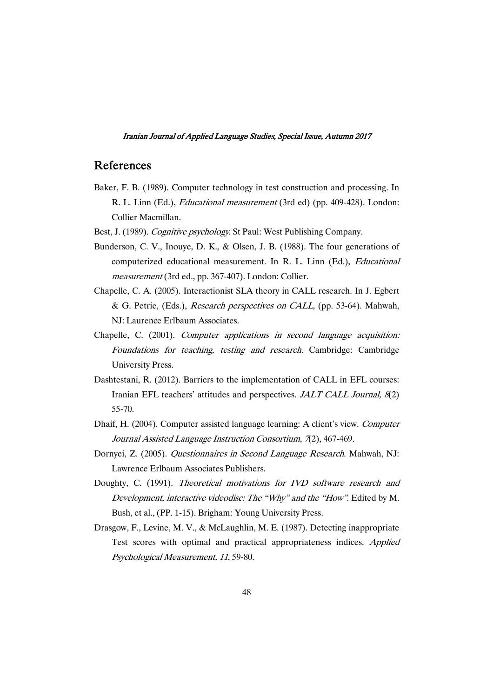# References

- Baker, F. B. (1989). Computer technology in test construction and processing. In R. L. Linn (Ed.), Educational measurement (3rd ed) (pp. 409-428). London: Collier Macmillan.
- Best, J. (1989). *Cognitive psychology*. St Paul: West Publishing Company.
- Bunderson, C. V., Inouye, D. K., & Olsen, J. B. (1988). The four generations of computerized educational measurement. In R. L. Linn (Ed.), Educational measurement (3rd ed., pp. 367-407). London: Collier.
- Chapelle, C. A. (2005). Interactionist SLA theory in CALL research. In J. Egbert & G. Petrie, (Eds.), Research perspectives on CALL, (pp. 53-64). Mahwah, NJ: Laurence Erlbaum Associates.
- Chapelle, C. (2001). Computer applications in second language acquisition: Foundations for teaching, testing and research. Cambridge: Cambridge University Press.
- Dashtestani, R. (2012). Barriers to the implementation of CALL in EFL courses: Iranian EFL teachers' attitudes and perspectives. *JALT CALL Journal*, 8(2) 55-70.
- Dhaif, H. (2004). Computer assisted language learning: A client's view. Computer Journal Assisted Language Instruction Consortium, <sup>7</sup>(2), 467-469.
- Dornyei, Z. (2005). Questionnaires in Second Language Research. Mahwah, NJ: Lawrence Erlbaum Associates Publishers.
- Doughty, C. (1991). Theoretical motivations for IVD software research and Development, interactive videodisc: The "Why" and the "How". Edited by M. Bush, et al., (PP. 1-15). Brigham: Young University Press.
- Drasgow, F., Levine, M. V., & McLaughlin, M. E. (1987). Detecting inappropriate Test scores with optimal and practical appropriateness indices. Applied Psychological Measurement, <sup>11</sup>, 59-80.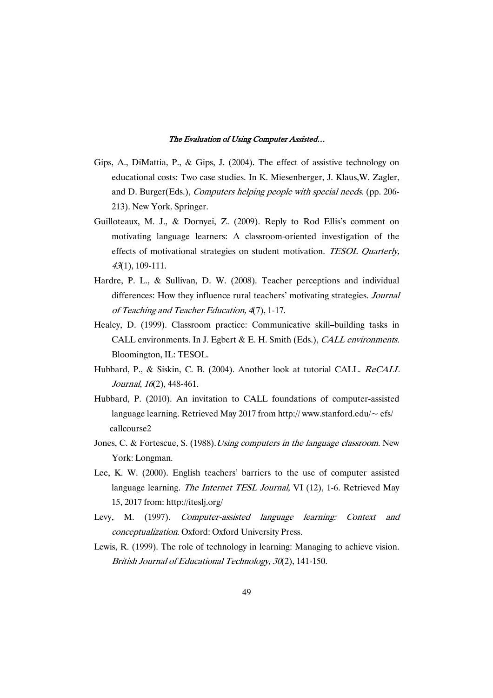- Gips, A., DiMattia, P., & Gips, J. (2004). The effect of assistive technology on educational costs: Two case studies. In K. Miesenberger, J. Klaus,W. Zagler, and D. Burger(Eds.), Computers helping people with special needs. (pp. 206- 213). New York. Springer.
- Guilloteaux, M. J., & Dornyei, Z. (2009). Reply to Rod Ellis's comment on motivating language learners: A classroom-oriented investigation of the effects of motivational strategies on student motivation. TESOL Quarterly, <sup>43</sup>(1), 109-111.
- Hardre, P. L., & Sullivan, D. W. (2008). Teacher perceptions and individual differences: How they influence rural teachers' motivating strategies. Journal of Teaching and Teacher Education, <sup>4</sup>(7), 1-17.
- Healey, D. (1999). Classroom practice: Communicative skill–building tasks in CALL environments. In J. Egbert & E. H. Smith (Eds.), CALL environments. Bloomington, IL: TESOL.
- Hubbard, P., & Siskin, C. B. (2004). Another look at tutorial CALL. ReCALL Journal, <sup>16</sup>(2), 448-461.
- Hubbard, P. (2010). An invitation to CALL foundations of computer-assisted language learning. Retrieved May 2017 from http://www.stanford.edu/ $\sim$  efs/ callcourse2
- Jones, C. & Fortescue, S. (1988). Using computers in the language classroom. New York: Longman.
- Lee, K. W. (2000). English teachers' barriers to the use of computer assisted language learning. *The Internet TESL Journal*, VI (12), 1-6. Retrieved May 15, 2017 from: http://iteslj.org/
- Levy, M. (1997). Computer-assisted language learning: Context and conceptualization. Oxford: Oxford University Press.
- Lewis, R. (1999). The role of technology in learning: Managing to achieve vision. British Journal of Educational Technology, <sup>30</sup>(2), 141-150.